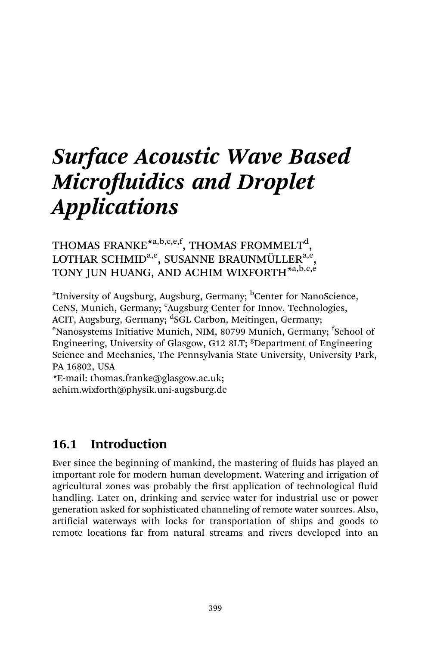# Surface Acoustic Wave Based **Microfluidics and Droplet** Applications

THOMAS FRANKE $^{\star_{\mathbf{a},\mathbf{b},\mathbf{c},\mathbf{e},\mathbf{f}}},$  THOMAS FROMMELT $^{\rm d},$ LOTHAR SCHMID $^{\mathrm{a,e}}$ , SUSANNE BRAUNMÜLLER $^{\mathrm{a,e}},$ TONY JUN HUANG, AND ACHIM WIXFORTH<sup>\*a,b,c,e</sup>

<sup>a</sup>University of Augsburg, Augsburg, Germany; <sup>b</sup>Center for NanoScience, CeNS, Munich, Germany; c Augsburg Center for Innov. Technologies, ACIT, Augsburg, Germany; <sup>d</sup>SGL Carbon, Meitingen, Germany; <sup>e</sup>Nanosystems Initiative Munich, NIM, 80799 Munich, Germany; <sup>f</sup>School of Engineering, University of Glasgow, G12 8LT; <sup>g</sup>Department of Engineering Science and Mechanics, The Pennsylvania State University, University Park, PA 16802, USA \*E-mail: thomas.franke@glasgow.ac.uk;

achim.wixforth@physik.uni-augsburg.de

# 16.1 Introduction

Ever since the beginning of mankind, the mastering of fluids has played an important role for modern human development. Watering and irrigation of agricultural zones was probably the first application of technological fluid handling. Later on, drinking and service water for industrial use or power generation asked for sophisticated channeling of remote water sources. Also, artificial waterways with locks for transportation of ships and goods to remote locations far from natural streams and rivers developed into an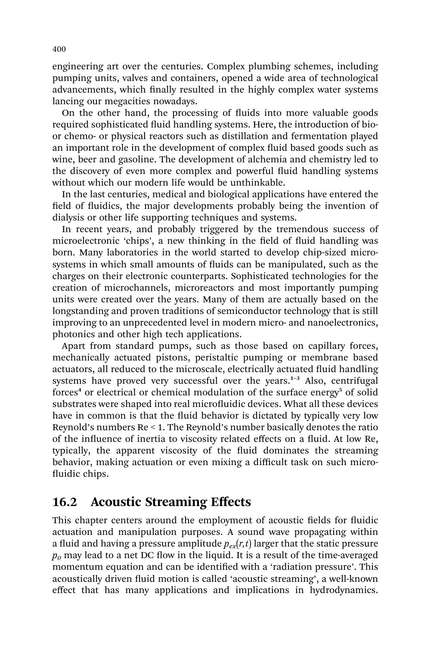engineering art over the centuries. Complex plumbing schemes, including pumping units, valves and containers, opened a wide area of technological advancements, which finally resulted in the highly complex water systems lancing our megacities nowadays.

On the other hand, the processing of fluids into more valuable goods required sophisticated fluid handling systems. Here, the introduction of bioor chemo- or physical reactors such as distillation and fermentation played an important role in the development of complex fluid based goods such as wine, beer and gasoline. The development of alchemia and chemistry led to the discovery of even more complex and powerful fluid handling systems without which our modern life would be unthinkable.

In the last centuries, medical and biological applications have entered the field of fluidics, the major developments probably being the invention of dialysis or other life supporting techniques and systems.

In recent years, and probably triggered by the tremendous success of microelectronic 'chips', a new thinking in the field of fluid handling was born. Many laboratories in the world started to develop chip-sized microsystems in which small amounts of fluids can be manipulated, such as the charges on their electronic counterparts. Sophisticated technologies for the creation of microchannels, microreactors and most importantly pumping units were created over the years. Many of them are actually based on the longstanding and proven traditions of semiconductor technology that is still improving to an unprecedented level in modern micro- and nanoelectronics, photonics and other high tech applications.

Apart from standard pumps, such as those based on capillary forces, mechanically actuated pistons, peristaltic pumping or membrane based actuators, all reduced to the microscale, electrically actuated fluid handling systems have proved very successful over the years. <sup>1</sup>–<sup>3</sup> Also, centrifugal forces<sup>4</sup> or electrical or chemical modulation of the surface energy<sup>5</sup> of solid substrates were shaped into real microfluidic devices. What all these devices have in common is that the fluid behavior is dictated by typically very low Reynold's numbers Re < 1. The Reynold's number basically denotes the ratio of the influence of inertia to viscosity related effects on a fluid. At low Re, typically, the apparent viscosity of the fluid dominates the streaming behavior, making actuation or even mixing a difficult task on such micro fluidic chips.

## 16.2 Acoustic Streaming Effects

This chapter centers around the employment of acoustic fields for fluidic actuation and manipulation purposes. A sound wave propagating within a fluid and having a pressure amplitude  $p_{ex}(r,t)$  larger that the static pressure  $p_0$  may lead to a net DC flow in the liquid. It is a result of the time-averaged momentum equation and can be identified with a 'radiation pressure'. This acoustically driven fluid motion is called 'acoustic streaming', a well-known effect that has many applications and implications in hydrodynamics.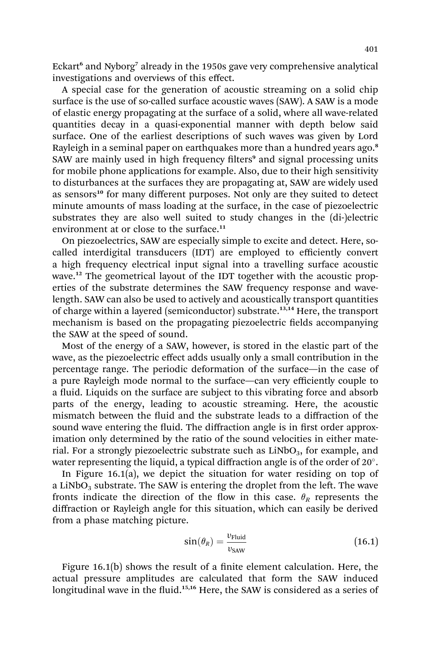Eckart 6 and Nyborg 7 already in the 1950s gave very comprehensive analytical investigations and overviews of this effect.

A special case for the generation of acoustic streaming on a solid chip surface is the use of so-called surface acoustic waves (SAW). A SAW is a mode of elastic energy propagating at the surface of a solid, where all wave-related quantities decay in a quasi-exponential manner with depth below said surface. One of the earliest descriptions of such waves was given by Lord Rayleigh in a seminal paper on earthquakes more than a hundred years ago.<sup>8</sup> SAW are mainly used in high frequency filters<sup>9</sup> and signal processing units for mobile phone applications for example. Also, due to their high sensitivity to disturbances at the surfaces they are propagating at, SAW are widely used as sensors<sup>10</sup> for many different purposes. Not only are they suited to detect minute amounts of mass loading at the surface, in the case of piezoelectric substrates they are also well suited to study changes in the (di-)electric environment at or close to the surface.<sup>11</sup>

On piezoelectrics, SAW are especially simple to excite and detect. Here, socalled interdigital transducers (IDT) are employed to efficiently convert a high frequency electrical input signal into a travelling surface acoustic wave. <sup>12</sup> The geometrical layout of the IDT together with the acoustic properties of the substrate determines the SAW frequency response and wavelength. SAW can also be used to actively and acoustically transport quantities of charge within a layered (semiconductor) substrate. 13,14 Here, the transport mechanism is based on the propagating piezoelectric fields accompanying the SAW at the speed of sound.

Most of the energy of a SAW, however, is stored in the elastic part of the wave, as the piezoelectric effect adds usually only a small contribution in the percentage range. The periodic deformation of the surface—in the case of a pure Rayleigh mode normal to the surface—can very efficiently couple to a fluid. Liquids on the surface are subject to this vibrating force and absorb parts of the energy, leading to acoustic streaming. Here, the acoustic mismatch between the fluid and the substrate leads to a diffraction of the sound wave entering the fluid. The diffraction angle is in first order approximation only determined by the ratio of the sound velocities in either material. For a strongly piezoelectric substrate such as  $LiNbO<sub>3</sub>$ , for example, and water representing the liquid, a typical diffraction angle is of the order of 20 $^{\circ}$ .

In Figure 16.1(a), we depict the situation for water residing on top of a LiNbO<sub>3</sub> substrate. The SAW is entering the droplet from the left. The wave fronts indicate the direction of the flow in this case.  $\theta_R$  represents the diffraction or Rayleigh angle for this situation, which can easily be derived from a phase matching picture.

$$
\sin(\theta_R) = \frac{v_{\text{Fluid}}}{v_{\text{SAW}}}
$$
\n(16.1)

Figure  $16.1(b)$  shows the result of a finite element calculation. Here, the actual pressure amplitudes are calculated that form the SAW induced longitudinal wave in the fluid.<sup>15,16</sup> Here, the SAW is considered as a series of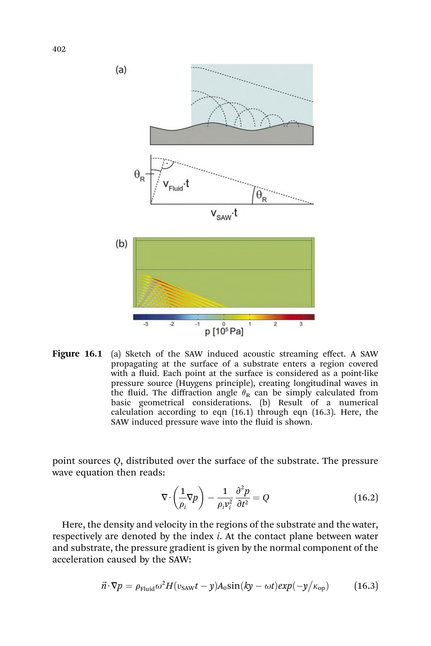

Figure 16.1 (a) Sketch of the SAW induced acoustic streaming effect. A SAW propagating at the surface of a substrate enters a region covered with a fluid. Each point at the surface is considered as a point-like pressure source (Huygens principle), creating longitudinal waves in the fluid. The diffraction angle  $\theta_R$  can be simply calculated from basic geometrical considerations. (b) Result of a numerical calculation according to eqn (16.1) through eqn (16.3). Here, the SAW induced pressure wave into the fluid is shown.

point sources Q, distributed over the surface of the substrate. The pressure wave equation then reads:

$$
\nabla \cdot \left(\frac{1}{\rho_i} \nabla p\right) - \frac{1}{\rho_i v_i^2} \frac{\partial^2 p}{\partial t^2} = Q \tag{16.2}
$$

Here, the density and velocity in the regions of the substrate and the water, respectively are denoted by the index  $i$ . At the contact plane between water and substrate, the pressure gradient is given by the normal component of the acceleration caused by the SAW:

$$
\vec{n} \cdot \nabla p = \rho_{\text{Fluid}} \omega^2 H(v_{\text{SAW}} t - y) A_0 \sin(ky - \omega t) exp(-y/\kappa_{\text{op}})
$$
(16.3)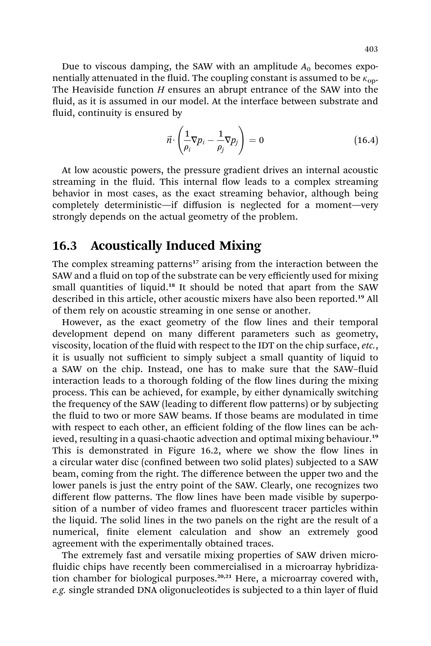Due to viscous damping, the SAW with an amplitude  $A_0$  becomes exponentially attenuated in the fluid. The coupling constant is assumed to be  $\kappa_{\rm opt}$ . The Heaviside function  $H$  ensures an abrupt entrance of the SAW into the fluid, as it is assumed in our model. At the interface between substrate and fluid, continuity is ensured by

$$
\vec{n} \cdot \left(\frac{1}{\rho_i} \nabla p_i - \frac{1}{\rho_j} \nabla p_j\right) = 0 \tag{16.4}
$$

At low acoustic powers, the pressure gradient drives an internal acoustic streaming in the fluid. This internal flow leads to a complex streaming behavior in most cases, as the exact streaming behavior, although being completely deterministic—if diffusion is neglected for a moment—very strongly depends on the actual geometry of the problem.

## 16.3 Acoustically Induced Mixing

The complex streaming patterns<sup>17</sup> arising from the interaction between the SAW and a fluid on top of the substrate can be very efficiently used for mixing small quantities of liquid.<sup>18</sup> It should be noted that apart from the SAW described in this article, other acoustic mixers have also been reported. <sup>19</sup> All of them rely on acoustic streaming in one sense or another.

However, as the exact geometry of the flow lines and their temporal development depend on many different parameters such as geometry, viscosity, location of the fluid with respect to the IDT on the chip surface, etc., it is usually not sufficient to simply subject a small quantity of liquid to a SAW on the chip. Instead, one has to make sure that the SAW-fluid interaction leads to a thorough folding of the flow lines during the mixing process. This can be achieved, for example, by either dynamically switching the frequency of the SAW (leading to different flow patterns) or by subjecting the fluid to two or more SAW beams. If those beams are modulated in time with respect to each other, an efficient folding of the flow lines can be achieved, resulting in a quasi-chaotic advection and optimal mixing behaviour. 19 This is demonstrated in Figure 16.2, where we show the flow lines in a circular water disc (confined between two solid plates) subjected to a SAW beam, coming from the right. The difference between the upper two and the lower panels is just the entry point of the SAW. Clearly, one recognizes two different flow patterns. The flow lines have been made visible by superposition of a number of video frames and fluorescent tracer particles within the liquid. The solid lines in the two panels on the right are the result of a numerical, finite element calculation and show an extremely good agreement with the experimentally obtained traces.

The extremely fast and versatile mixing properties of SAW driven micro fluidic chips have recently been commercialised in a microarray hybridization chamber for biological purposes.<sup>20,21</sup> Here, a microarray covered with, e.g. single stranded DNA oligonucleotides is subjected to a thin layer of fluid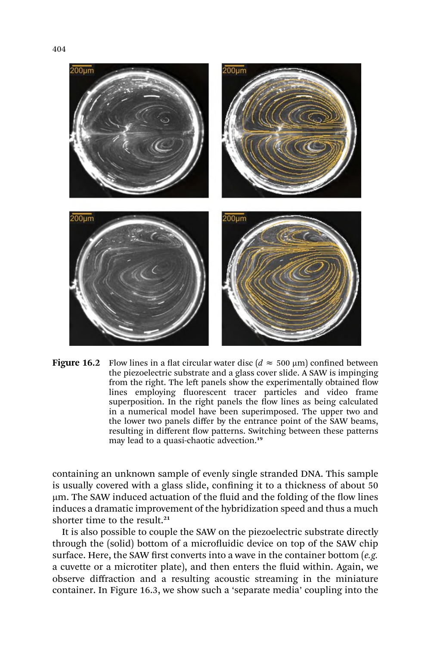

**Figure 16.2** Flow lines in a flat circular water disc ( $d \approx 500 \text{ }\mu\text{m}$ ) confined between the piezoelectric substrate and a glass cover slide. A SAW is impinging from the right. The left panels show the experimentally obtained flow lines employing fluorescent tracer particles and video frame superposition. In the right panels the flow lines as being calculated in a numerical model have been superimposed. The upper two and the lower two panels differ by the entrance point of the SAW beams, resulting in different flow patterns. Switching between these patterns may lead to a quasi-chaotic advection. 19

containing an unknown sample of evenly single stranded DNA. This sample is usually covered with a glass slide, confining it to a thickness of about 50 um. The SAW induced actuation of the fluid and the folding of the flow lines induces a dramatic improvement of the hybridization speed and thus a much shorter time to the result. 21

It is also possible to couple the SAW on the piezoelectric substrate directly through the (solid) bottom of a microfluidic device on top of the SAW chip surface. Here, the SAW first converts into a wave in the container bottom (e.g. a cuvette or a microtiter plate), and then enters the fluid within. Again, we observe diffraction and a resulting acoustic streaming in the miniature container. In Figure 16.3, we show such a 'separate media' coupling into the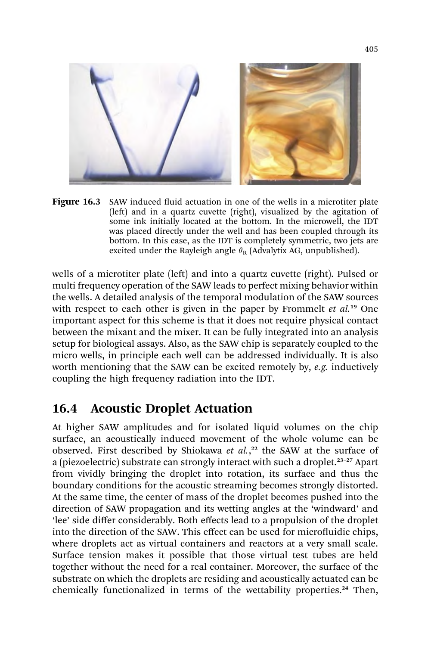

Figure 16.3 SAW induced fluid actuation in one of the wells in a microtiter plate (left) and in a quartz cuvette (right), visualized by the agitation of some ink initially located at the bottom. In the microwell, the IDT was placed directly under the well and has been coupled through its bottom. In this case, as the IDT is completely symmetric, two jets are excited under the Rayleigh angle  $\theta_{\rm R}$  (Advalytix AG, unpublished).

wells of a microtiter plate (left) and into a quartz cuvette (right). Pulsed or multi frequency operation of the SAW leads to perfect mixing behavior within the wells. A detailed analysis of the temporal modulation of the SAW sources with respect to each other is given in the paper by Frommelt et al.<sup>19</sup> One important aspect for this scheme is that it does not require physical contact between the mixant and the mixer. It can be fully integrated into an analysis setup for biological assays. Also, as the SAW chip is separately coupled to the micro wells, in principle each well can be addressed individually. It is also worth mentioning that the SAW can be excited remotely by,  $e.g.$  inductively coupling the high frequency radiation into the IDT.

## 16.4 Acoustic Droplet Actuation

At higher SAW amplitudes and for isolated liquid volumes on the chip surface, an acoustically induced movement of the whole volume can be observed. First described by Shiokawa et  $al.^{22}$ , the SAW at the surface of a (piezoelectric) substrate can strongly interact with such a droplet.<sup>23-27</sup> Apart from vividly bringing the droplet into rotation, its surface and thus the boundary conditions for the acoustic streaming becomes strongly distorted. At the same time, the center of mass of the droplet becomes pushed into the direction of SAW propagation and its wetting angles at the 'windward' and 'lee' side differ considerably. Both effects lead to a propulsion of the droplet into the direction of the SAW. This effect can be used for microfluidic chips, where droplets act as virtual containers and reactors at a very small scale. Surface tension makes it possible that those virtual test tubes are held together without the need for a real container. Moreover, the surface of the substrate on which the droplets are residing and acoustically actuated can be chemically functionalized in terms of the wettability properties. <sup>24</sup> Then,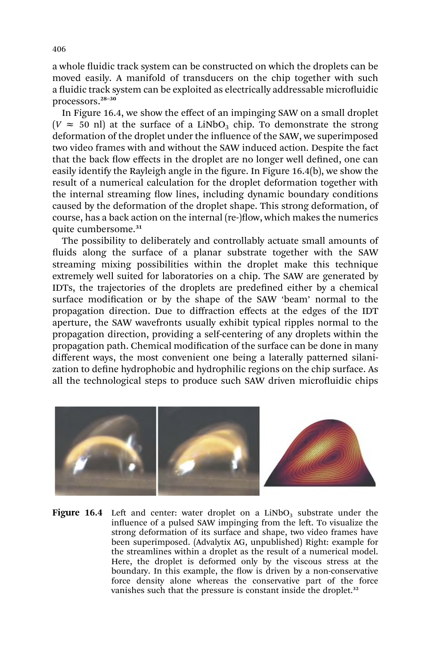a whole fluidic track system can be constructed on which the droplets can be moved easily. A manifold of transducers on the chip together with such a fluidic track system can be exploited as electrically addressable microfluidic processors. 28–30

In Figure 16.4, we show the effect of an impinging SAW on a small droplet  $(V \approx 50 \text{ nl})$  at the surface of a LiNbO<sub>3</sub> chip. To demonstrate the strong deformation of the droplet under the influence of the SAW, we superimposed two video frames with and without the SAW induced action. Despite the fact that the back flow effects in the droplet are no longer well defined, one can easily identify the Rayleigh angle in the figure. In Figure 16.4(b), we show the result of a numerical calculation for the droplet deformation together with the internal streaming flow lines, including dynamic boundary conditions caused by the deformation of the droplet shape. This strong deformation, of course, has a back action on the internal (re-)flow, which makes the numerics quite cumbersome. 31

The possibility to deliberately and controllably actuate small amounts of fluids along the surface of a planar substrate together with the SAW streaming mixing possibilities within the droplet make this technique extremely well suited for laboratories on a chip. The SAW are generated by IDTs, the trajectories of the droplets are predefined either by a chemical surface modification or by the shape of the SAW 'beam' normal to the propagation direction. Due to diffraction effects at the edges of the IDT aperture, the SAW wavefronts usually exhibit typical ripples normal to the propagation direction, providing a self-centering of any droplets within the propagation path. Chemical modification of the surface can be done in many different ways, the most convenient one being a laterally patterned silanization to define hydrophobic and hydrophilic regions on the chip surface. As all the technological steps to produce such SAW driven microfluidic chips



Figure 16.4 Left and center: water droplet on a  $LiNbO<sub>3</sub>$  substrate under the influence of a pulsed SAW impinging from the left. To visualize the strong deformation of its surface and shape, two video frames have been superimposed. (Advalytix AG, unpublished) Right: example for the streamlines within a droplet as the result of a numerical model. Here, the droplet is deformed only by the viscous stress at the boundary. In this example, the flow is driven by a non-conservative force density alone whereas the conservative part of the force vanishes such that the pressure is constant inside the droplet.<sup>32</sup>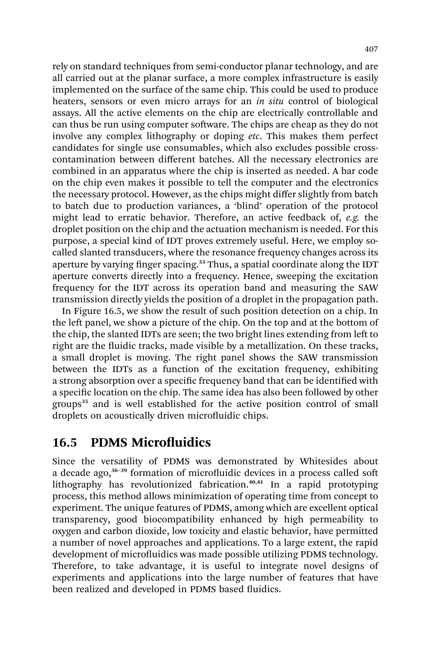rely on standard techniques from semi-conductor planar technology, and are all carried out at the planar surface, a more complex infrastructure is easily implemented on the surface of the same chip. This could be used to produce heaters, sensors or even micro arrays for an in situ control of biological assays. All the active elements on the chip are electrically controllable and can thus be run using computer software. The chips are cheap as they do not involve any complex lithography or doping etc. This makes them perfect candidates for single use consumables, which also excludes possible crosscontamination between different batches. All the necessary electronics are combined in an apparatus where the chip is inserted as needed. A bar code on the chip even makes it possible to tell the computer and the electronics the necessary protocol. However, as the chips might differ slightly from batch to batch due to production variances, a 'blind' operation of the protocol might lead to erratic behavior. Therefore, an active feedback of, e.g. the droplet position on the chip and the actuation mechanism is needed. For this purpose, a special kind of IDT proves extremely useful. Here, we employ socalled slanted transducers, where the resonance frequency changes across its aperture by varying finger spacing.<sup>33</sup> Thus, a spatial coordinate along the IDT aperture converts directly into a frequency. Hence, sweeping the excitation frequency for the IDT across its operation band and measuring the SAW transmission directly yields the position of a droplet in the propagation path.

In Figure 16.5, we show the result of such position detection on a chip. In the left panel, we show a picture of the chip. On the top and at the bottom of the chip, the slanted IDTs are seen; the two bright lines extending from left to right are the fluidic tracks, made visible by a metallization. On these tracks, a small droplet is moving. The right panel shows the SAW transmission between the IDTs as a function of the excitation frequency, exhibiting a strong absorption over a specific frequency band that can be identified with a specific location on the chip. The same idea has also been followed by other groups 35 and is well established for the active position control of small droplets on acoustically driven microfluidic chips.

## 16.5 PDMS Microfluidics

Since the versatility of PDMS was demonstrated by Whitesides about a decade ago,<sup>36-39</sup> formation of microfluidic devices in a process called soft lithography has revolutionized fabrication. 40,41 In a rapid prototyping process, this method allows minimization of operating time from concept to experiment. The unique features of PDMS, among which are excellent optical transparency, good biocompatibility enhanced by high permeability to oxygen and carbon dioxide, low toxicity and elastic behavior, have permitted a number of novel approaches and applications. To a large extent, the rapid development of microfluidics was made possible utilizing PDMS technology. Therefore, to take advantage, it is useful to integrate novel designs of experiments and applications into the large number of features that have been realized and developed in PDMS based fluidics.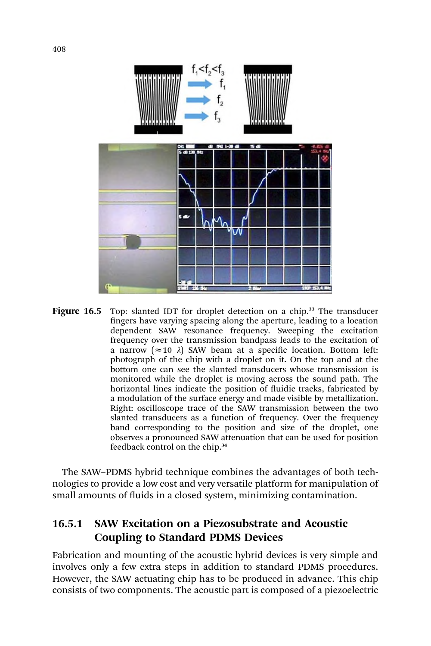



Figure 16.5 Top: slanted IDT for droplet detection on a chip.<sup>33</sup> The transducer fingers have varying spacing along the aperture, leading to a location dependent SAW resonance frequency. Sweeping the excitation frequency over the transmission bandpass leads to the excitation of a narrow  $(\approx 10 \lambda)$  SAW beam at a specific location. Bottom left: photograph of the chip with a droplet on it. On the top and at the bottom one can see the slanted transducers whose transmission is monitored while the droplet is moving across the sound path. The horizontal lines indicate the position of fluidic tracks, fabricated by a modulation of the surface energy and made visible by metallization. Right: oscilloscope trace of the SAW transmission between the two slanted transducers as a function of frequency. Over the frequency band corresponding to the position and size of the droplet, one observes a pronounced SAW attenuation that can be used for position feedback control on the chip. 34

The SAW–PDMS hybrid technique combines the advantages of both technologies to provide a low cost and very versatile platform for manipulation of small amounts of fluids in a closed system, minimizing contamination.

#### 16.5.1 SAW Excitation on a Piezosubstrate and Acoustic Coupling to Standard PDMS Devices

Fabrication and mounting of the acoustic hybrid devices is very simple and involves only a few extra steps in addition to standard PDMS procedures. However, the SAW actuating chip has to be produced in advance. This chip consists of two components. The acoustic part is composed of a piezoelectric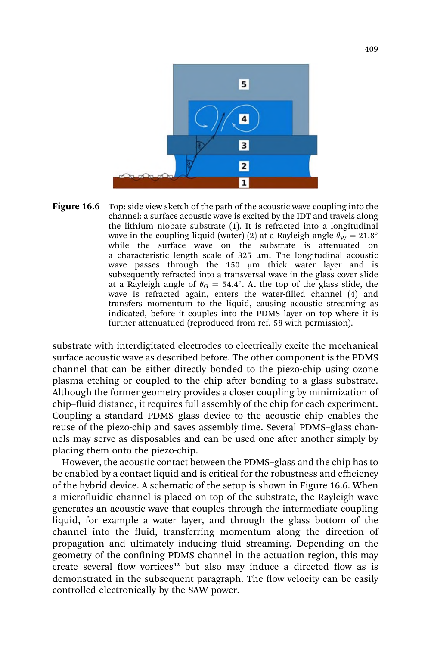

Figure 16.6 Top: side view sketch of the path of the acoustic wave coupling into the channel: a surface acoustic wave is excited by the IDT and travels along the lithium niobate substrate (1). It is refracted into a longitudinal wave in the coupling liquid (water) (2) at a Rayleigh angle  $\theta_{\rm W} = 21.8^{\circ}$ while the surface wave on the substrate is attenuated on a characteristic length scale of 325  $\upmu$ m. The longitudinal acoustic wave passes through the 150 um thick water layer and is subsequently refracted into a transversal wave in the glass cover slide at a Rayleigh angle of  $\theta$ <sub>G</sub> = 54.4°. At the top of the glass slide, the wave is refracted again, enters the water-filled channel (4) and transfers momentum to the liquid, causing acoustic streaming as indicated, before it couples into the PDMS layer on top where it is further attenuatued (reproduced from ref. 58 with permission).

substrate with interdigitated electrodes to electrically excite the mechanical surface acoustic wave as described before. The other component is the PDMS channel that can be either directly bonded to the piezo-chip using ozone plasma etching or coupled to the chip after bonding to a glass substrate. Although the former geometry provides a closer coupling by minimization of chip–fluid distance, it requires full assembly of the chip for each experiment. Coupling a standard PDMS–glass device to the acoustic chip enables the reuse of the piezo-chip and saves assembly time. Several PDMS–glass channels may serve as disposables and can be used one after another simply by placing them onto the piezo-chip.

However, the acoustic contact between the PDMS–glass and the chip has to be enabled by a contact liquid and is critical for the robustness and efficiency of the hybrid device. A schematic of the setup is shown in Figure 16.6. When a microfluidic channel is placed on top of the substrate, the Rayleigh wave generates an acoustic wave that couples through the intermediate coupling liquid, for example a water layer, and through the glass bottom of the channel into the fluid, transferring momentum along the direction of propagation and ultimately inducing fluid streaming. Depending on the geometry of the confining PDMS channel in the actuation region, this may create several flow vortices<sup>42</sup> but also may induce a directed flow as is demonstrated in the subsequent paragraph. The flow velocity can be easily controlled electronically by the SAW power.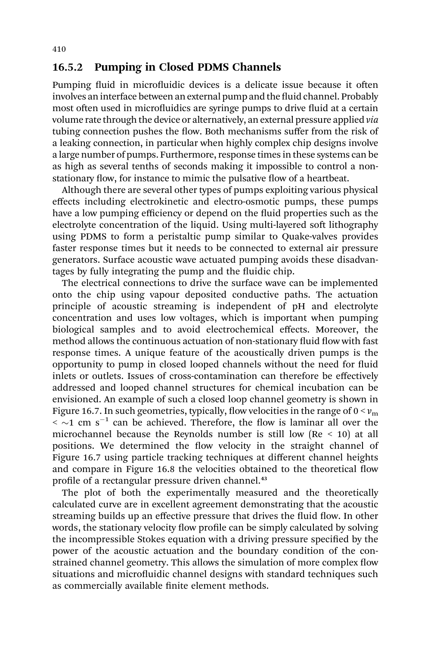#### 16.5.2 Pumping in Closed PDMS Channels

Pumping fluid in microfluidic devices is a delicate issue because it often involves an interface between an external pump and the fluid channel. Probably most often used in microfluidics are syringe pumps to drive fluid at a certain volume rate through the device or alternatively, an external pressure applied via tubing connection pushes the flow. Both mechanisms suffer from the risk of a leaking connection, in particular when highly complex chip designs involve a large number of pumps. Furthermore, response times in these systems can be as high as several tenths of seconds making it impossible to control a nonstationary flow, for instance to mimic the pulsative flow of a heartbeat.

Although there are several other types of pumps exploiting various physical effects including electrokinetic and electro-osmotic pumps, these pumps have a low pumping efficiency or depend on the fluid properties such as the electrolyte concentration of the liquid. Using multi-layered soft lithography using PDMS to form a peristaltic pump similar to Quake-valves provides faster response times but it needs to be connected to external air pressure generators. Surface acoustic wave actuated pumping avoids these disadvantages by fully integrating the pump and the fluidic chip.

The electrical connections to drive the surface wave can be implemented onto the chip using vapour deposited conductive paths. The actuation principle of acoustic streaming is independent of pH and electrolyte concentration and uses low voltages, which is important when pumping biological samples and to avoid electrochemical effects. Moreover, the method allows the continuous actuation of non-stationary fluid flow with fast response times. A unique feature of the acoustically driven pumps is the opportunity to pump in closed looped channels without the need for fluid inlets or outlets. Issues of cross-contamination can therefore be effectively addressed and looped channel structures for chemical incubation can be envisioned. An example of such a closed loop channel geometry is shown in Figure 16.7. In such geometries, typically, flow velocities in the range of  $0 \le v_m$  $\leq$   $\sim$ 1 cm s<sup>-1</sup> can be achieved. Therefore, the flow is laminar all over the microchannel because the Reynolds number is still low (Re < 10) at all positions. We determined the flow velocity in the straight channel of Figure 16.7 using particle tracking techniques at different channel heights and compare in Figure 16.8 the velocities obtained to the theoretical flow profile of a rectangular pressure driven channel.<sup>43</sup>

The plot of both the experimentally measured and the theoretically calculated curve are in excellent agreement demonstrating that the acoustic streaming builds up an effective pressure that drives the fluid flow. In other words, the stationary velocity flow profile can be simply calculated by solving the incompressible Stokes equation with a driving pressure specified by the power of the acoustic actuation and the boundary condition of the constrained channel geometry. This allows the simulation of more complex flow situations and microfluidic channel designs with standard techniques such as commercially available finite element methods.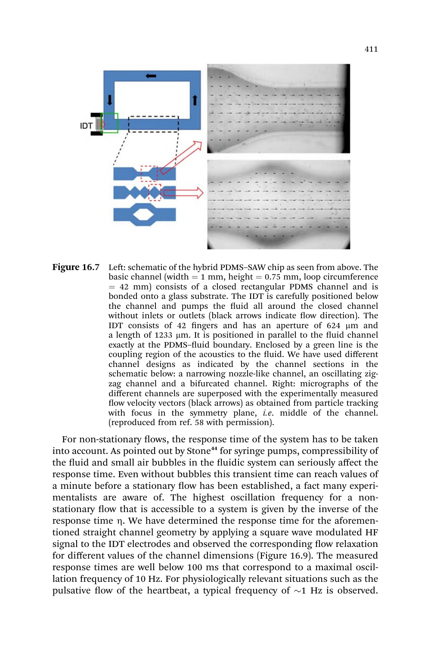

Figure 16.7 Left: schematic of the hybrid PDMS-SAW chip as seen from above. The basic channel (width  $= 1$  mm, height  $= 0.75$  mm, loop circumference  $= 42$  mm) consists of a closed rectangular PDMS channel and is bonded onto a glass substrate. The IDT is carefully positioned below the channel and pumps the fluid all around the closed channel without inlets or outlets (black arrows indicate flow direction). The IDT consists of 42 fingers and has an aperture of  $624 \mu m$  and a length of  $1233 \mu m$ . It is positioned in parallel to the fluid channel exactly at the PDMS-fluid boundary. Enclosed by a green line is the coupling region of the acoustics to the fluid. We have used different channel designs as indicated by the channel sections in the schematic below: a narrowing nozzle-like channel, an oscillating zigzag channel and a bifurcated channel. Right: micrographs of the different channels are superposed with the experimentally measured flow velocity vectors (black arrows) as obtained from particle tracking with focus in the symmetry plane, *i.e.* middle of the channel. (reproduced from ref. 58 with permission).

For non-stationary flows, the response time of the system has to be taken into account. As pointed out by Stone 44 for syringe pumps, compressibility of the fluid and small air bubbles in the fluidic system can seriously affect the response time. Even without bubbles this transient time can reach values of a minute before a stationary flow has been established, a fact many experimentalists are aware of. The highest oscillation frequency for a nonstationary flow that is accessible to a system is given by the inverse of the response time  $\eta$ . We have determined the response time for the aforementioned straight channel geometry by applying a square wave modulated HF signal to the IDT electrodes and observed the corresponding flow relaxation for different values of the channel dimensions (Figure 16.9). The measured response times are well below 100 ms that correspond to a maximal oscillation frequency of 10 Hz. For physiologically relevant situations such as the pulsative flow of the heartbeat, a typical frequency of  $\sim$ 1 Hz is observed.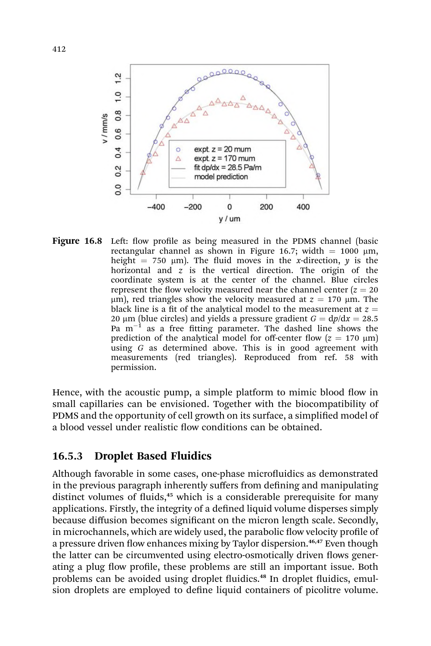

Figure 16.8 Left: flow profile as being measured in the PDMS channel (basic rectangular channel as shown in Figure 16.7; width  $= 1000 \mu m$ , height = 750  $\mu$ m). The fluid moves in the x-direction, y is the horizontal and z is the vertical direction. The origin of the coordinate system is at the center of the channel. Blue circles represent the flow velocity measured near the channel center ( $z = 20$ )  $\mu$ m), red triangles show the velocity measured at  $z = 170 \mu$ m. The black line is a fit of the analytical model to the measurement at  $z =$ 20  $\mu$ m (blue circles) and yields a pressure gradient  $G = dp/dx = 28.5$ Pa  $m^{-1}$  as a free fitting parameter. The dashed line shows the prediction of the analytical model for off-center flow ( $z = 170 \text{ }\mu\text{m}$ ) using G as determined above. This is in good agreement with measurements (red triangles). Reproduced from ref. 58 with permission.

Hence, with the acoustic pump, a simple platform to mimic blood flow in small capillaries can be envisioned. Together with the biocompatibility of PDMS and the opportunity of cell growth on its surface, a simplified model of a blood vessel under realistic flow conditions can be obtained.

#### 16.5.3 Droplet Based Fluidics

Although favorable in some cases, one-phase microfluidics as demonstrated in the previous paragraph inherently suffers from defining and manipulating distinct volumes of fluids,<sup>45</sup> which is a considerable prerequisite for many applications. Firstly, the integrity of a defined liquid volume disperses simply because diffusion becomes significant on the micron length scale. Secondly, in microchannels, which are widely used, the parabolic flow velocity profile of a pressure driven flow enhances mixing by Taylor dispersion.<sup>46,47</sup> Even though the latter can be circumvented using electro-osmotically driven flows generating a plug flow profile, these problems are still an important issue. Both problems can be avoided using droplet fluidics.<sup>48</sup> In droplet fluidics, emulsion droplets are employed to define liquid containers of picolitre volume.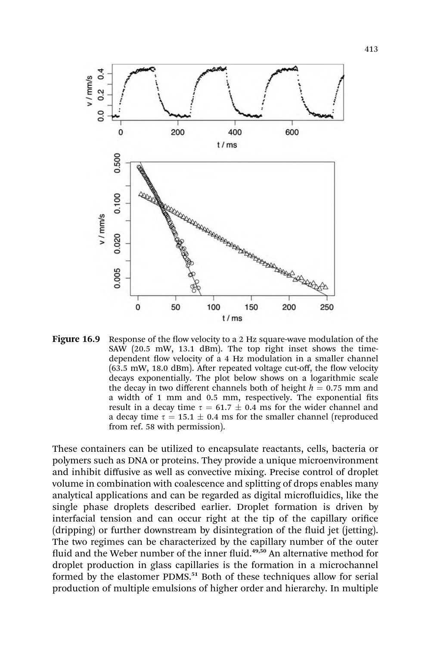

Figure 16.9 Response of the flow velocity to a 2 Hz square-wave modulation of the SAW (20.5 mW, 13.1 dBm). The top right inset shows the timedependent flow velocity of a 4 Hz modulation in a smaller channel  $(63.5$  mW, 18.0 dBm). After repeated voltage cut-off, the flow velocity decays exponentially. The plot below shows on a logarithmic scale the decay in two different channels both of height  $h = 0.75$  mm and a width of 1 mm and 0.5 mm, respectively. The exponential fits result in a decay time  $\tau = 61.7 \pm 0.4$  ms for the wider channel and a decay time  $\tau = 15.1 \pm 0.4$  ms for the smaller channel (reproduced from ref. 58 with permission).

These containers can be utilized to encapsulate reactants, cells, bacteria or polymers such as DNA or proteins. They provide a unique microenvironment and inhibit diffusive as well as convective mixing. Precise control of droplet volume in combination with coalescence and splitting of drops enables many analytical applications and can be regarded as digital microfluidics, like the single phase droplets described earlier. Droplet formation is driven by interfacial tension and can occur right at the tip of the capillary orifice (dripping) or further downstream by disintegration of the fluid jet (jetting). The two regimes can be characterized by the capillary number of the outer fluid and the Weber number of the inner fluid.<sup>49,50</sup> An alternative method for droplet production in glass capillaries is the formation in a microchannel formed by the elastomer PDMS.<sup>51</sup> Both of these techniques allow for serial production of multiple emulsions of higher order and hierarchy. In multiple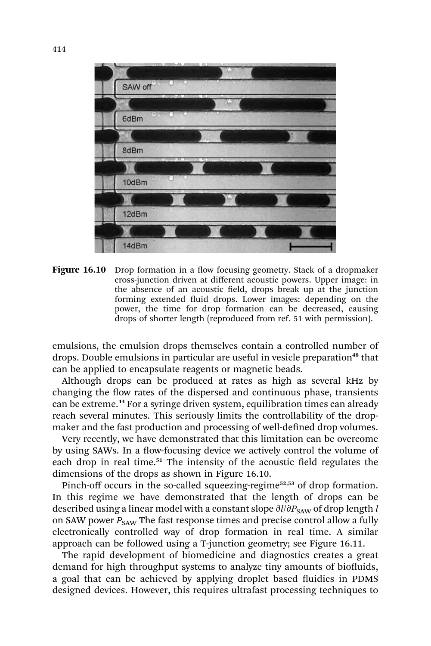

Figure 16.10 Drop formation in a flow focusing geometry. Stack of a dropmaker cross-junction driven at different acoustic powers. Upper image: in the absence of an acoustic field, drops break up at the junction forming extended fluid drops. Lower images: depending on the power, the time for drop formation can be decreased, causing drops of shorter length (reproduced from ref. 51 with permission).

emulsions, the emulsion drops themselves contain a controlled number of drops. Double emulsions in particular are useful in vesicle preparation<sup>48</sup> that can be applied to encapsulate reagents or magnetic beads.

Although drops can be produced at rates as high as several kHz by changing the flow rates of the dispersed and continuous phase, transients can be extreme. <sup>44</sup> For a syringe driven system, equilibration times can already reach several minutes. This seriously limits the controllability of the dropmaker and the fast production and processing of well-defined drop volumes.

Very recently, we have demonstrated that this limitation can be overcome by using SAWs. In a flow-focusing device we actively control the volume of each drop in real time.<sup>51</sup> The intensity of the acoustic field regulates the dimensions of the drops as shown in Figure 16.10.

Pinch-off occurs in the so-called squeezing-regime<sup>52,53</sup> of drop formation. In this regime we have demonstrated that the length of drops can be described using a linear model with a constant slope  $\partial l/\partial P_{SAW}$  of drop length l on SAW power  $P_{SAW}$  The fast response times and precise control allow a fully electronically controlled way of drop formation in real time. A similar approach can be followed using a T-junction geometry; see Figure 16.11.

The rapid development of biomedicine and diagnostics creates a great demand for high throughput systems to analyze tiny amounts of biofluids, a goal that can be achieved by applying droplet based fluidics in PDMS designed devices. However, this requires ultrafast processing techniques to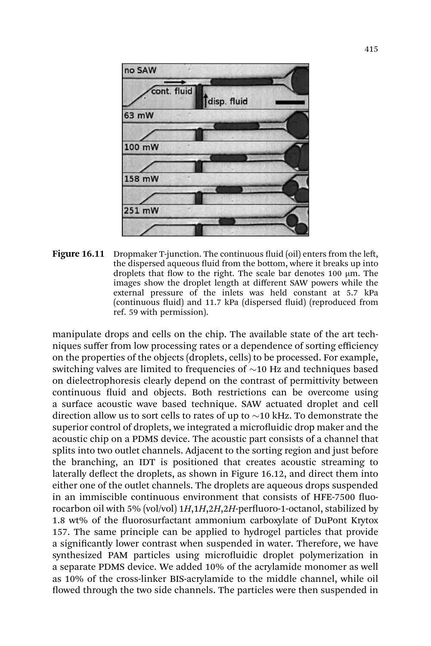

Figure  $16.11$  Dropmaker T-junction. The continuous fluid (oil) enters from the left, the dispersed aqueous fluid from the bottom, where it breaks up into droplets that flow to the right. The scale bar denotes 100  $\mu$ m. The images show the droplet length at different SAW powers while the external pressure of the inlets was held constant at 5.7 kPa (continuous fluid) and 11.7 kPa (dispersed fluid) (reproduced from ref. 59 with permission).

manipulate drops and cells on the chip. The available state of the art techniques suffer from low processing rates or a dependence of sorting efficiency on the properties of the objects (droplets, cells) to be processed. For example, switching valves are limited to frequencies of  $\sim$ 10 Hz and techniques based on dielectrophoresis clearly depend on the contrast of permittivity between continuous fluid and objects. Both restrictions can be overcome using a surface acoustic wave based technique. SAW actuated droplet and cell direction allow us to sort cells to rates of up to  $\sim$ 10 kHz. To demonstrate the superior control of droplets, we integrated a microfluidic drop maker and the acoustic chip on a PDMS device. The acoustic part consists of a channel that splits into two outlet channels. Adjacent to the sorting region and just before the branching, an IDT is positioned that creates acoustic streaming to laterally deflect the droplets, as shown in Figure 16.12, and direct them into either one of the outlet channels. The droplets are aqueous drops suspended in an immiscible continuous environment that consists of HFE-7500 fluorocarbon oil with 5% (vol/vol)  $1H$ , $1H$ , $2H$ , $2H$ -perfluoro-1-octanol, stabilized by 1.8 wt% of the fluorosurfactant ammonium carboxylate of DuPont Krytox 157. The same principle can be applied to hydrogel particles that provide a signicantly lower contrast when suspended in water. Therefore, we have synthesized PAM particles using microfluidic droplet polymerization in a separate PDMS device. We added 10% of the acrylamide monomer as well as 10% of the cross-linker BIS-acrylamide to the middle channel, while oil flowed through the two side channels. The particles were then suspended in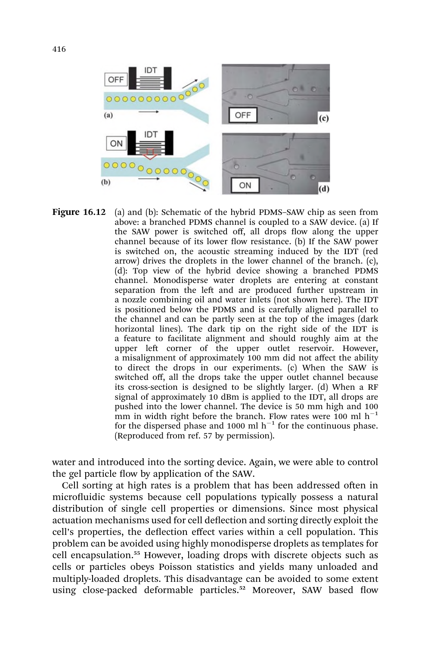

Figure 16.12 (a) and (b): Schematic of the hybrid PDMS–SAW chip as seen from above: a branched PDMS channel is coupled to a SAW device. (a) If the SAW power is switched off, all drops flow along the upper channel because of its lower flow resistance. (b) If the SAW power is switched on, the acoustic streaming induced by the IDT (red arrow) drives the droplets in the lower channel of the branch. (c), (d): Top view of the hybrid device showing a branched PDMS channel. Monodisperse water droplets are entering at constant separation from the left and are produced further upstream in a nozzle combining oil and water inlets (not shown here). The IDT is positioned below the PDMS and is carefully aligned parallel to the channel and can be partly seen at the top of the images (dark horizontal lines). The dark tip on the right side of the IDT is a feature to facilitate alignment and should roughly aim at the upper left corner of the upper outlet reservoir. However, a misalignment of approximately 100 mm did not affect the ability to direct the drops in our experiments. (c) When the SAW is switched off, all the drops take the upper outlet channel because its cross-section is designed to be slightly larger. (d) When a RF signal of approximately 10 dBm is applied to the IDT, all drops are pushed into the lower channel. The device is 50 mm high and 100 mm in width right before the branch. Flow rates were 100 ml  $h^{-1}$ for the dispersed phase and 1000 ml  $h^{-1}$  for the continuous phase. (Reproduced from ref. 57 by permission).

water and introduced into the sorting device. Again, we were able to control the gel particle flow by application of the SAW.

Cell sorting at high rates is a problem that has been addressed often in microfluidic systems because cell populations typically possess a natural distribution of single cell properties or dimensions. Since most physical actuation mechanisms used for cell deflection and sorting directly exploit the cell's properties, the deflection effect varies within a cell population. This problem can be avoided using highly monodisperse droplets as templates for cell encapsulation. <sup>55</sup> However, loading drops with discrete objects such as cells or particles obeys Poisson statistics and yields many unloaded and multiply-loaded droplets. This disadvantage can be avoided to some extent using close-packed deformable particles.<sup>52</sup> Moreover, SAW based flow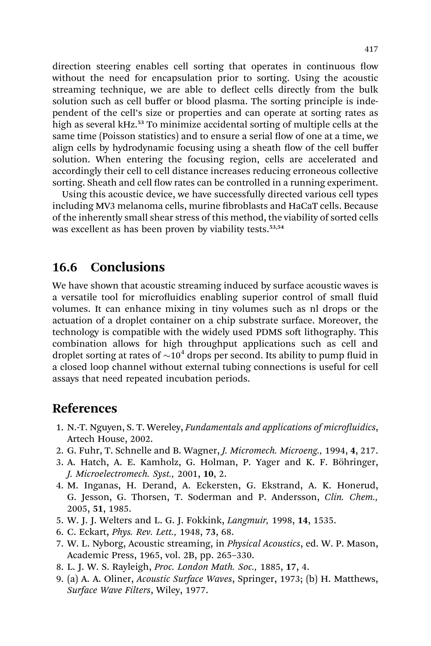direction steering enables cell sorting that operates in continuous flow without the need for encapsulation prior to sorting. Using the acoustic streaming technique, we are able to deflect cells directly from the bulk solution such as cell buffer or blood plasma. The sorting principle is independent of the cell's size or properties and can operate at sorting rates as high as several kHz. <sup>53</sup> To minimize accidental sorting of multiple cells at the same time (Poisson statistics) and to ensure a serial flow of one at a time, we align cells by hydrodynamic focusing using a sheath flow of the cell buffer solution. When entering the focusing region, cells are accelerated and accordingly their cell to cell distance increases reducing erroneous collective sorting. Sheath and cell flow rates can be controlled in a running experiment.

Using this acoustic device, we have successfully directed various cell types including MV3 melanoma cells, murine fibroblasts and HaCaT cells. Because of the inherently small shear stress of this method, the viability of sorted cells was excellent as has been proven by viability tests. 53,54

## 16.6 Conclusions

We have shown that acoustic streaming induced by surface acoustic waves is a versatile tool for microfluidics enabling superior control of small fluid volumes. It can enhance mixing in tiny volumes such as nl drops or the actuation of a droplet container on a chip substrate surface. Moreover, the technology is compatible with the widely used PDMS soft lithography. This combination allows for high throughput applications such as cell and droplet sorting at rates of  $\sim$ 10<sup>4</sup> drops per second. Its ability to pump fluid in a closed loop channel without external tubing connections is useful for cell assays that need repeated incubation periods.

#### References

- 1. N.-T. Nguyen, S. T. Wereley, Fundamentals and applications of microfluidics, Artech House, 2002.
- 2. G. Fuhr, T. Schnelle and B. Wagner, J. Micromech. Microeng., 1994, 4, 217.
- 3. A. Hatch, A. E. Kamholz, G. Holman, P. Yager and K. F. Böhringer, J. Microelectromech. Syst., 2001, 10, 2.
- 4. M. Inganas, H. Derand, A. Eckersten, G. Ekstrand, A. K. Honerud, G. Jesson, G. Thorsen, T. Soderman and P. Andersson, Clin. Chem., 2005, 51, 1985.
- 5. W. J. J. Welters and L. G. J. Fokkink, Langmuir, 1998, 14, 1535.
- 6. C. Eckart, Phys. Rev. Lett., 1948, 73, 68.
- 7. W. L. Nyborg, Acoustic streaming, in Physical Acoustics, ed. W. P. Mason, Academic Press, 1965, vol. 2B, pp. 265–330.
- 8. L. J. W. S. Rayleigh, Proc. London Math. Soc., 1885, 17, 4.
- 9. (a) A. A. Oliner, Acoustic Surface Waves, Springer, 1973; (b) H. Matthews, Surface Wave Filters, Wiley, 1977.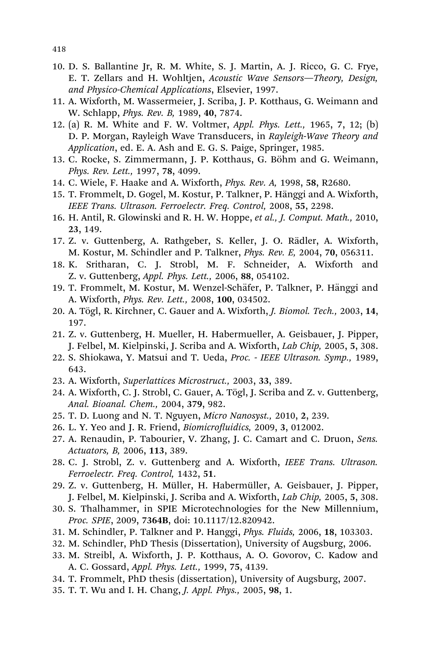- 10. D. S. Ballantine Jr, R. M. White, S. J. Martin, A. J. Ricco, G. C. Frye, E. T. Zellars and H. Wohltjen, Acoustic Wave Sensors—Theory, Design, and Physico-Chemical Applications, Elsevier, 1997.
- 11. A. Wixforth, M. Wassermeier, J. Scriba, J. P. Kotthaus, G. Weimann and W. Schlapp, Phys. Rev. B, 1989, 40, 7874.
- 12. (a) R. M. White and F. W. Voltmer, Appl. Phys. Lett., 1965, 7, 12; (b) D. P. Morgan, Rayleigh Wave Transducers, in Rayleigh-Wave Theory and Application, ed. E. A. Ash and E. G. S. Paige, Springer, 1985.
- 13. C. Rocke, S. Zimmermann, J. P. Kotthaus, G. Böhm and G. Weimann, Phys. Rev. Lett., 1997, 78, 4099.
- 14. C. Wiele, F. Haake and A. Wixforth, Phys. Rev. A, 1998, 58, R2680.
- 15. T. Frommelt, D. Gogel, M. Kostur, P. Talkner, P. Hänggi and A. Wixforth, IEEE Trans. Ultrason. Ferroelectr. Freq. Control, 2008, 55, 2298.
- 16. H. Antil, R. Glowinski and R. H. W. Hoppe, et al., J. Comput. Math., 2010, 23, 149.
- 17. Z. v. Guttenberg, A. Rathgeber, S. Keller, J. O. Rädler, A. Wixforth, M. Kostur, M. Schindler and P. Talkner, Phys. Rev. E, 2004, 70, 056311.
- 18. K. Sritharan, C. J. Strobl, M. F. Schneider, A. Wixforth and Z. v. Guttenberg, Appl. Phys. Lett., 2006, 88, 054102.
- 19. T. Frommelt, M. Kostur, M. Wenzel-Schäfer, P. Talkner, P. Hänggi and A. Wixforth, Phys. Rev. Lett., 2008, 100, 034502.
- 20. A. Tögl, R. Kirchner, C. Gauer and A. Wixforth, J. Biomol. Tech., 2003, 14, 197.
- 21. Z. v. Guttenberg, H. Mueller, H. Habermueller, A. Geisbauer, J. Pipper, J. Felbel, M. Kielpinski, J. Scriba and A. Wixforth, Lab Chip, 2005, 5, 308.
- 22. S. Shiokawa, Y. Matsui and T. Ueda, Proc. IEEE Ultrason. Symp., 1989, 643.
- 23. A. Wixforth, Superlattices Microstruct., 2003, 33, 389.
- 24. A. Wixforth, C. J. Strobl, C. Gauer, A. Tögl, J. Scriba and Z. v. Guttenberg, Anal. Bioanal. Chem., 2004, 379, 982.
- 25. T. D. Luong and N. T. Nguyen, Micro Nanosyst., 2010, 2, 239.
- 26. L. Y. Yeo and J. R. Friend, *Biomicrofluidics*, 2009, 3, 012002.
- 27. A. Renaudin, P. Tabourier, V. Zhang, J. C. Camart and C. Druon, Sens. Actuators, B, 2006, 113, 389.
- 28. C. J. Strobl, Z. v. Guttenberg and A. Wixforth, IEEE Trans. Ultrason. Ferroelectr. Freq. Control, 1432, 51.
- 29. Z. v. Guttenberg, H. Müller, H. Habermüller, A. Geisbauer, J. Pipper, J. Felbel, M. Kielpinski, J. Scriba and A. Wixforth, Lab Chip, 2005, 5, 308.
- 30. S. Thalhammer, in SPIE Microtechnologies for the New Millennium, Proc. SPIE, 2009, 7364B, doi: 10.1117/12.820942.
- 31. M. Schindler, P. Talkner and P. Hanggi, Phys. Fluids, 2006, 18, 103303.
- 32. M. Schindler, PhD Thesis (Dissertation), University of Augsburg, 2006.
- 33. M. Streibl, A. Wixforth, J. P. Kotthaus, A. O. Govorov, C. Kadow and A. C. Gossard, Appl. Phys. Lett., 1999, 75, 4139.
- 34. T. Frommelt, PhD thesis (dissertation), University of Augsburg, 2007.
- 35. T. T. Wu and I. H. Chang, J. Appl. Phys., 2005, 98, 1.